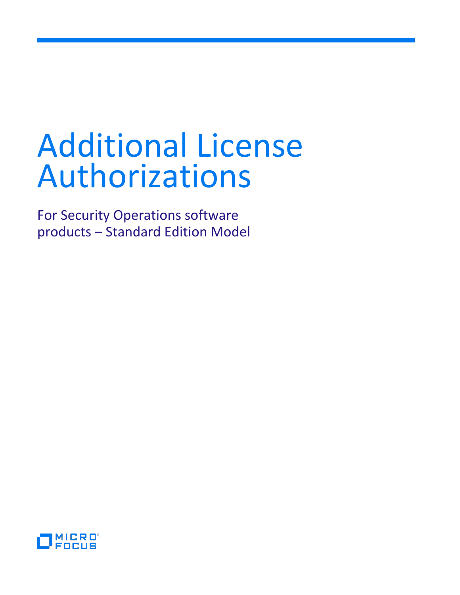For Security Operations software products – Standard Edition Model

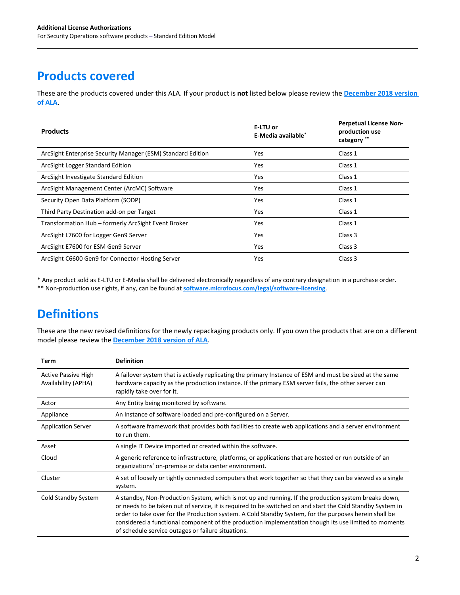# **Products covered**

These are the products covered under this ALA. If your product is **not** listed below please review the **[December 2018 version](https://softwaresupport.softwaregrp.com/doc/KM03305136?fileName=ALA_Security%20Operations_Dec_18_2018_5200-1712.pdf)  [of ALA](https://softwaresupport.softwaregrp.com/doc/KM03305136?fileName=ALA_Security%20Operations_Dec_18_2018_5200-1712.pdf)**.

| <b>Products</b>                                             | E-LTU or<br>E-Media available* | <b>Perpetual License Non-</b><br>production use<br>category ** |
|-------------------------------------------------------------|--------------------------------|----------------------------------------------------------------|
| ArcSight Enterprise Security Manager (ESM) Standard Edition | <b>Yes</b>                     | Class 1                                                        |
| ArcSight Logger Standard Edition                            | <b>Yes</b>                     | Class 1                                                        |
| ArcSight Investigate Standard Edition                       | <b>Yes</b>                     | Class 1                                                        |
| ArcSight Management Center (ArcMC) Software                 | <b>Yes</b>                     | Class 1                                                        |
| Security Open Data Platform (SODP)                          | <b>Yes</b>                     | Class 1                                                        |
| Third Party Destination add-on per Target                   | <b>Yes</b>                     | Class 1                                                        |
| Transformation Hub – formerly ArcSight Event Broker         | Yes                            | Class 1                                                        |
| ArcSight L7600 for Logger Gen9 Server                       | <b>Yes</b>                     | Class 3                                                        |
| ArcSight E7600 for ESM Gen9 Server                          | Yes                            | Class 3                                                        |
| ArcSight C6600 Gen9 for Connector Hosting Server            | Yes                            | Class 3                                                        |

\* Any product sold as E-LTU or E-Media shall be delivered electronically regardless of any contrary designation in a purchase order.

\*\* Non-production use rights, if any, can be found at **[software.microfocus.com/legal/software-licensing](https://software.microfocus.com/legal/software-licensing)**.

# **Definitions**

These are the new revised definitions for the newly repackaging products only. If you own the products that are on a different model please review the **[December 2018 version of ALA](https://softwaresupport.softwaregrp.com/doc/KM03305136?fileName=ALA_Security%20Operations_Dec_18_2018_5200-1712.pdf)**.

| Term                                              | <b>Definition</b>                                                                                                                                                                                                                                                                                                                                                                                                                                                                         |
|---------------------------------------------------|-------------------------------------------------------------------------------------------------------------------------------------------------------------------------------------------------------------------------------------------------------------------------------------------------------------------------------------------------------------------------------------------------------------------------------------------------------------------------------------------|
| <b>Active Passive High</b><br>Availability (APHA) | A failover system that is actively replicating the primary Instance of ESM and must be sized at the same<br>hardware capacity as the production instance. If the primary ESM server fails, the other server can<br>rapidly take over for it.                                                                                                                                                                                                                                              |
| Actor                                             | Any Entity being monitored by software.                                                                                                                                                                                                                                                                                                                                                                                                                                                   |
| Appliance                                         | An Instance of software loaded and pre-configured on a Server.                                                                                                                                                                                                                                                                                                                                                                                                                            |
| <b>Application Server</b>                         | A software framework that provides both facilities to create web applications and a server environment<br>to run them.                                                                                                                                                                                                                                                                                                                                                                    |
| Asset                                             | A single IT Device imported or created within the software.                                                                                                                                                                                                                                                                                                                                                                                                                               |
| Cloud                                             | A generic reference to infrastructure, platforms, or applications that are hosted or run outside of an<br>organizations' on-premise or data center environment.                                                                                                                                                                                                                                                                                                                           |
| Cluster                                           | A set of loosely or tightly connected computers that work together so that they can be viewed as a single<br>system.                                                                                                                                                                                                                                                                                                                                                                      |
| Cold Standby System                               | A standby, Non-Production System, which is not up and running. If the production system breaks down,<br>or needs to be taken out of service, it is required to be switched on and start the Cold Standby System in<br>order to take over for the Production system. A Cold Standby System, for the purposes herein shall be<br>considered a functional component of the production implementation though its use limited to moments<br>of schedule service outages or failure situations. |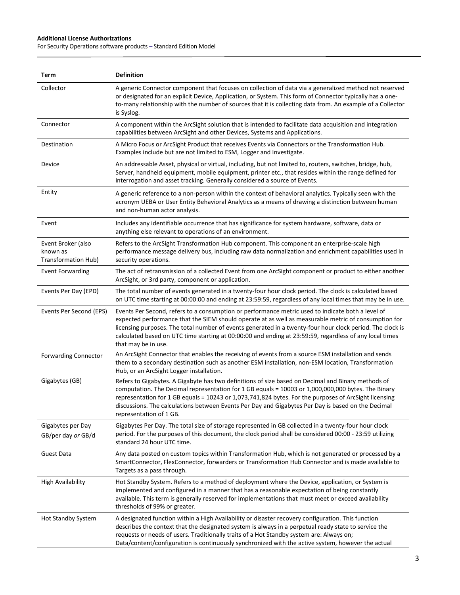$\overline{a}$ 

For Security Operations software products – Standard Edition Model

| Term                                                  | <b>Definition</b>                                                                                                                                                                                                                                                                                                                                                                                                                                        |
|-------------------------------------------------------|----------------------------------------------------------------------------------------------------------------------------------------------------------------------------------------------------------------------------------------------------------------------------------------------------------------------------------------------------------------------------------------------------------------------------------------------------------|
| Collector                                             | A generic Connector component that focuses on collection of data via a generalized method not reserved<br>or designated for an explicit Device, Application, or System. This form of Connector typically has a one-<br>to-many relationship with the number of sources that it is collecting data from. An example of a Collector<br>is Syslog.                                                                                                          |
| Connector                                             | A component within the ArcSight solution that is intended to facilitate data acquisition and integration<br>capabilities between ArcSight and other Devices, Systems and Applications.                                                                                                                                                                                                                                                                   |
| Destination                                           | A Micro Focus or ArcSight Product that receives Events via Connectors or the Transformation Hub.<br>Examples include but are not limited to ESM, Logger and Investigate.                                                                                                                                                                                                                                                                                 |
| Device                                                | An addressable Asset, physical or virtual, including, but not limited to, routers, switches, bridge, hub,<br>Server, handheld equipment, mobile equipment, printer etc., that resides within the range defined for<br>interrogation and asset tracking. Generally considered a source of Events.                                                                                                                                                         |
| Entity                                                | A generic reference to a non-person within the context of behavioral analytics. Typically seen with the<br>acronym UEBA or User Entity Behavioral Analytics as a means of drawing a distinction between human<br>and non-human actor analysis.                                                                                                                                                                                                           |
| Event                                                 | Includes any identifiable occurrence that has significance for system hardware, software, data or<br>anything else relevant to operations of an environment.                                                                                                                                                                                                                                                                                             |
| Event Broker (also<br>known as<br>Transformation Hub) | Refers to the ArcSight Transformation Hub component. This component an enterprise-scale high<br>performance message delivery bus, including raw data normalization and enrichment capabilities used in<br>security operations.                                                                                                                                                                                                                           |
| <b>Event Forwarding</b>                               | The act of retransmission of a collected Event from one ArcSight component or product to either another<br>ArcSight, or 3rd party, component or application.                                                                                                                                                                                                                                                                                             |
| Events Per Day (EPD)                                  | The total number of events generated in a twenty-four hour clock period. The clock is calculated based<br>on UTC time starting at 00:00:00 and ending at 23:59:59, regardless of any local times that may be in use.                                                                                                                                                                                                                                     |
| Events Per Second (EPS)                               | Events Per Second, refers to a consumption or performance metric used to indicate both a level of<br>expected performance that the SIEM should operate at as well as measurable metric of consumption for<br>licensing purposes. The total number of events generated in a twenty-four hour clock period. The clock is<br>calculated based on UTC time starting at 00:00:00 and ending at 23:59:59, regardless of any local times<br>that may be in use. |
| <b>Forwarding Connector</b>                           | An ArcSight Connector that enables the receiving of events from a source ESM installation and sends<br>them to a secondary destination such as another ESM installation, non-ESM location, Transformation<br>Hub, or an ArcSight Logger installation.                                                                                                                                                                                                    |
| Gigabytes (GB)                                        | Refers to Gigabytes. A Gigabyte has two definitions of size based on Decimal and Binary methods of<br>computation. The Decimal representation for 1 GB equals = 10003 or 1,000,000,000 bytes. The Binary<br>representation for 1 GB equals = 10243 or 1,073,741,824 bytes. For the purposes of ArcSight licensing<br>discussions. The calculations between Events Per Day and Gigabytes Per Day is based on the Decimal<br>representation of 1 GB.       |
| Gigabytes per Day<br>GB/per day or GB/d               | Gigabytes Per Day. The total size of storage represented in GB collected in a twenty-four hour clock<br>period. For the purposes of this document, the clock period shall be considered 00:00 - 23:59 utilizing<br>standard 24 hour UTC time.                                                                                                                                                                                                            |
| <b>Guest Data</b>                                     | Any data posted on custom topics within Transformation Hub, which is not generated or processed by a<br>SmartConnector, FlexConnector, forwarders or Transformation Hub Connector and is made available to<br>Targets as a pass through.                                                                                                                                                                                                                 |
| <b>High Availability</b>                              | Hot Standby System. Refers to a method of deployment where the Device, application, or System is<br>implemented and configured in a manner that has a reasonable expectation of being constantly<br>available. This term is generally reserved for implementations that must meet or exceed availability<br>thresholds of 99% or greater.                                                                                                                |
| Hot Standby System                                    | A designated function within a High Availability or disaster recovery configuration. This function<br>describes the context that the designated system is always in a perpetual ready state to service the<br>requests or needs of users. Traditionally traits of a Hot Standby system are: Always on;<br>Data/content/configuration is continuously synchronized with the active system, however the actual                                             |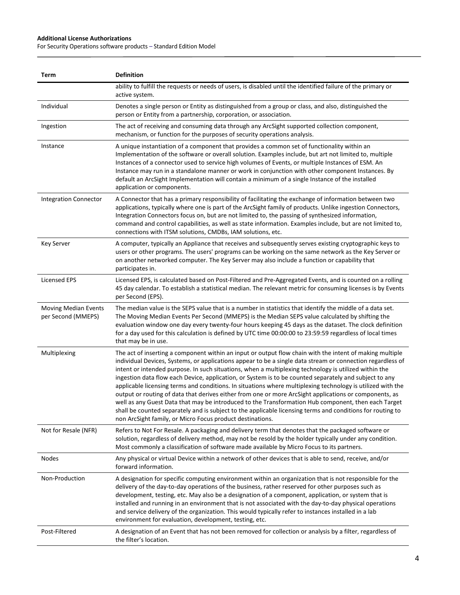$\overline{a}$ 

For Security Operations software products – Standard Edition Model

| Term                                              | <b>Definition</b>                                                                                                                                                                                                                                                                                                                                                                                                                                                                                                                                                                                                                                                                                                                                                                                                                                                                                                                                    |
|---------------------------------------------------|------------------------------------------------------------------------------------------------------------------------------------------------------------------------------------------------------------------------------------------------------------------------------------------------------------------------------------------------------------------------------------------------------------------------------------------------------------------------------------------------------------------------------------------------------------------------------------------------------------------------------------------------------------------------------------------------------------------------------------------------------------------------------------------------------------------------------------------------------------------------------------------------------------------------------------------------------|
|                                                   | ability to fulfill the requests or needs of users, is disabled until the identified failure of the primary or<br>active system.                                                                                                                                                                                                                                                                                                                                                                                                                                                                                                                                                                                                                                                                                                                                                                                                                      |
| Individual                                        | Denotes a single person or Entity as distinguished from a group or class, and also, distinguished the<br>person or Entity from a partnership, corporation, or association.                                                                                                                                                                                                                                                                                                                                                                                                                                                                                                                                                                                                                                                                                                                                                                           |
| Ingestion                                         | The act of receiving and consuming data through any ArcSight supported collection component,<br>mechanism, or function for the purposes of security operations analysis.                                                                                                                                                                                                                                                                                                                                                                                                                                                                                                                                                                                                                                                                                                                                                                             |
| Instance                                          | A unique instantiation of a component that provides a common set of functionality within an<br>Implementation of the software or overall solution. Examples include, but art not limited to, multiple<br>Instances of a connector used to service high volumes of Events, or multiple Instances of ESM. An<br>Instance may run in a standalone manner or work in conjunction with other component Instances. By<br>default an ArcSight Implementation will contain a minimum of a single Instance of the installed<br>application or components.                                                                                                                                                                                                                                                                                                                                                                                                     |
| <b>Integration Connector</b>                      | A Connector that has a primary responsibility of facilitating the exchange of information between two<br>applications, typically where one is part of the ArcSight family of products. Unlike ingestion Connectors,<br>Integration Connectors focus on, but are not limited to, the passing of synthesized information,<br>command and control capabilities, as well as state information. Examples include, but are not limited to,<br>connections with ITSM solutions, CMDBs, IAM solutions, etc.                                                                                                                                                                                                                                                                                                                                                                                                                                                  |
| <b>Key Server</b>                                 | A computer, typically an Appliance that receives and subsequently serves existing cryptographic keys to<br>users or other programs. The users' programs can be working on the same network as the Key Server or<br>on another networked computer. The Key Server may also include a function or capability that<br>participates in.                                                                                                                                                                                                                                                                                                                                                                                                                                                                                                                                                                                                                  |
| <b>Licensed EPS</b>                               | Licensed EPS, is calculated based on Post-Filtered and Pre-Aggregated Events, and is counted on a rolling<br>45 day calendar. To establish a statistical median. The relevant metric for consuming licenses is by Events<br>per Second (EPS).                                                                                                                                                                                                                                                                                                                                                                                                                                                                                                                                                                                                                                                                                                        |
| <b>Moving Median Events</b><br>per Second (MMEPS) | The median value is the SEPS value that is a number in statistics that identify the middle of a data set.<br>The Moving Median Events Per Second (MMEPS) is the Median SEPS value calculated by shifting the<br>evaluation window one day every twenty-four hours keeping 45 days as the dataset. The clock definition<br>for a day used for this calculation is defined by UTC time 00:00:00 to 23:59:59 regardless of local times<br>that may be in use.                                                                                                                                                                                                                                                                                                                                                                                                                                                                                           |
| Multiplexing                                      | The act of inserting a component within an input or output flow chain with the intent of making multiple<br>individual Devices, Systems, or applications appear to be a single data stream or connection regardless of<br>intent or intended purpose. In such situations, when a multiplexing technology is utilized within the<br>ingestion data flow each Device, application, or System is to be counted separately and subject to any<br>applicable licensing terms and conditions. In situations where multiplexing technology is utilized with the<br>output or routing of data that derives either from one or more ArcSight applications or components, as<br>well as any Guest Data that may be introduced to the Transformation Hub component, then each Target<br>shall be counted separately and is subject to the applicable licensing terms and conditions for routing to<br>non ArcSight family, or Micro Focus product destinations. |
| Not for Resale (NFR)                              | Refers to Not For Resale. A packaging and delivery term that denotes that the packaged software or<br>solution, regardless of delivery method, may not be resold by the holder typically under any condition.<br>Most commonly a classification of software made available by Micro Focus to its partners.                                                                                                                                                                                                                                                                                                                                                                                                                                                                                                                                                                                                                                           |
| <b>Nodes</b>                                      | Any physical or virtual Device within a network of other devices that is able to send, receive, and/or<br>forward information.                                                                                                                                                                                                                                                                                                                                                                                                                                                                                                                                                                                                                                                                                                                                                                                                                       |
| Non-Production                                    | A designation for specific computing environment within an organization that is not responsible for the<br>delivery of the day-to-day operations of the business, rather reserved for other purposes such as<br>development, testing, etc. May also be a designation of a component, application, or system that is<br>installed and running in an environment that is not associated with the day-to-day physical operations<br>and service delivery of the organization. This would typically refer to instances installed in a lab<br>environment for evaluation, development, testing, etc.                                                                                                                                                                                                                                                                                                                                                      |
| Post-Filtered                                     | A designation of an Event that has not been removed for collection or analysis by a filter, regardless of<br>the filter's location.                                                                                                                                                                                                                                                                                                                                                                                                                                                                                                                                                                                                                                                                                                                                                                                                                  |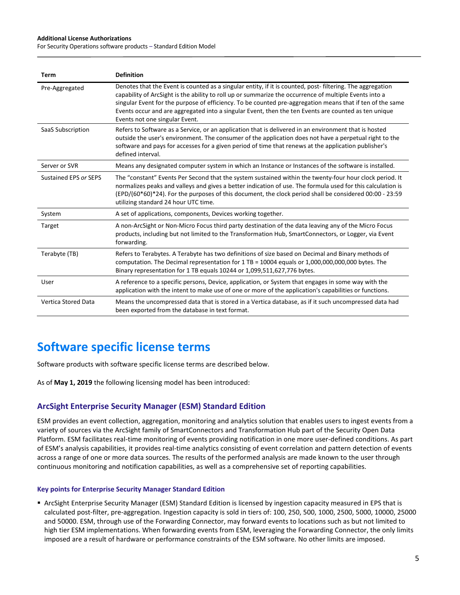For Security Operations software products – Standard Edition Model

| Term                  | <b>Definition</b>                                                                                                                                                                                                                                                                                                                                                                                                                                                          |
|-----------------------|----------------------------------------------------------------------------------------------------------------------------------------------------------------------------------------------------------------------------------------------------------------------------------------------------------------------------------------------------------------------------------------------------------------------------------------------------------------------------|
| Pre-Aggregated        | Denotes that the Event is counted as a singular entity, if it is counted, post-filtering. The aggregation<br>capability of ArcSight is the ability to roll up or summarize the occurrence of multiple Events into a<br>singular Event for the purpose of efficiency. To be counted pre-aggregation means that if ten of the same<br>Events occur and are aggregated into a singular Event, then the ten Events are counted as ten unique<br>Events not one singular Event. |
| SaaS Subscription     | Refers to Software as a Service, or an application that is delivered in an environment that is hosted<br>outside the user's environment. The consumer of the application does not have a perpetual right to the<br>software and pays for accesses for a given period of time that renews at the application publisher's<br>defined interval.                                                                                                                               |
| Server or SVR         | Means any designated computer system in which an Instance or Instances of the software is installed.                                                                                                                                                                                                                                                                                                                                                                       |
| Sustained EPS or SEPS | The "constant" Events Per Second that the system sustained within the twenty-four hour clock period. It<br>normalizes peaks and valleys and gives a better indication of use. The formula used for this calculation is<br>$(EPD/(60*60)*24)$ . For the purposes of this document, the clock period shall be considered 00:00 - 23:59<br>utilizing standard 24 hour UTC time.                                                                                               |
| System                | A set of applications, components, Devices working together.                                                                                                                                                                                                                                                                                                                                                                                                               |
| Target                | A non-ArcSight or Non-Micro Focus third party destination of the data leaving any of the Micro Focus<br>products, including but not limited to the Transformation Hub, SmartConnectors, or Logger, via Event<br>forwarding.                                                                                                                                                                                                                                                |
| Terabyte (TB)         | Refers to Terabytes. A Terabyte has two definitions of size based on Decimal and Binary methods of<br>computation. The Decimal representation for 1 TB = 10004 equals or 1,000,000,000,000 bytes. The<br>Binary representation for 1 TB equals 10244 or 1,099,511,627,776 bytes.                                                                                                                                                                                           |
| User                  | A reference to a specific persons, Device, application, or System that engages in some way with the<br>application with the intent to make use of one or more of the application's capabilities or functions.                                                                                                                                                                                                                                                              |
| Vertica Stored Data   | Means the uncompressed data that is stored in a Vertica database, as if it such uncompressed data had<br>been exported from the database in text format.                                                                                                                                                                                                                                                                                                                   |

# **Software specific license terms**

Software products with software specific license terms are described below.

As of **May 1, 2019** the following licensing model has been introduced:

## **ArcSight Enterprise Security Manager (ESM) Standard Edition**

ESM provides an event collection, aggregation, monitoring and analytics solution that enables users to ingest events from a variety of sources via the ArcSight family of SmartConnectors and Transformation Hub part of the Security Open Data Platform. ESM facilitates real-time monitoring of events providing notification in one more user-defined conditions. As part of ESM's analysis capabilities, it provides real-time analytics consisting of event correlation and pattern detection of events across a range of one or more data sources. The results of the performed analysis are made known to the user through continuous monitoring and notification capabilities, as well as a comprehensive set of reporting capabilities.

#### **Key points for Enterprise Security Manager Standard Edition**

 ArcSight Enterprise Security Manager (ESM) Standard Edition is licensed by ingestion capacity measured in EPS that is calculated post-filter, pre-aggregation. Ingestion capacity is sold in tiers of: 100, 250, 500, 1000, 2500, 5000, 10000, 25000 and 50000. ESM, through use of the Forwarding Connector, may forward events to locations such as but not limited to high tier ESM implementations. When forwarding events from ESM, leveraging the Forwarding Connector, the only limits imposed are a result of hardware or performance constraints of the ESM software. No other limits are imposed.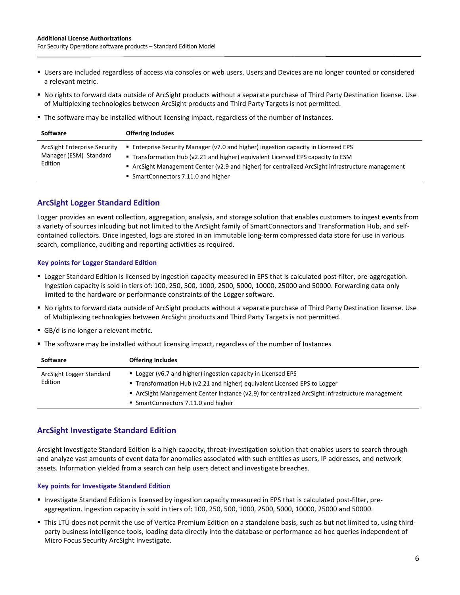- Users are included regardless of access via consoles or web users. Users and Devices are no longer counted or considered a relevant metric.
- No rights to forward data outside of ArcSight products without a separate purchase of Third Party Destination license. Use of Multiplexing technologies between ArcSight products and Third Party Targets is not permitted.
- The software may be installed without licensing impact, regardless of the number of Instances.

| <b>Offering Includes</b><br><b>Software</b>                                                              |                                                                                                                                                                                                                                                                               |
|----------------------------------------------------------------------------------------------------------|-------------------------------------------------------------------------------------------------------------------------------------------------------------------------------------------------------------------------------------------------------------------------------|
| ArcSight Enterprise Security<br>Manager (ESM) Standard<br>Edition<br>• SmartConnectors 7.11.0 and higher | <b>Enterprise Security Manager (v7.0 and higher) ingestion capacity in Licensed EPS</b><br>■ Transformation Hub (v2.21 and higher) equivalent Licensed EPS capacity to ESM<br>ArcSight Management Center (v2.9 and higher) for centralized ArcSight infrastructure management |

# **ArcSight Logger Standard Edition**

Logger provides an event collection, aggregation, analysis, and storage solution that enables customers to ingest events from a variety of sources inlcuding but not limited to the ArcSight family of SmartConnectors and Transformation Hub, and selfcontained collectors. Once ingested, logs are stored in an immutable long-term compressed data store for use in various search, compliance, auditing and reporting activities as required.

#### **Key points for Logger Standard Edition**

- **Logger Standard Edition is licensed by ingestion capacity measured in EPS that is calculated post-filter, pre-aggregation.** Ingestion capacity is sold in tiers of: 100, 250, 500, 1000, 2500, 5000, 10000, 25000 and 50000. Forwarding data only limited to the hardware or performance constraints of the Logger software.
- No rights to forward data outside of ArcSight products without a separate purchase of Third Party Destination license. Use of Multiplexing technologies between ArcSight products and Third Party Targets is not permitted.
- GB/d is no longer a relevant metric.
- The software may be installed without licensing impact, regardless of the number of Instances

| <b>Software</b>                     | <b>Offering Includes</b>                                                                      |
|-------------------------------------|-----------------------------------------------------------------------------------------------|
| ArcSight Logger Standard<br>Edition | ■ Logger (v6.7 and higher) ingestion capacity in Licensed EPS                                 |
|                                     | ■ Transformation Hub (v2.21 and higher) equivalent Licensed EPS to Logger                     |
|                                     | ArcSight Management Center Instance (v2.9) for centralized ArcSight infrastructure management |
|                                     | • SmartConnectors 7.11.0 and higher                                                           |

# **ArcSight Investigate Standard Edition**

Arcsight Investigate Standard Edition is a high-capacity, threat-investigation solution that enables users to search through and analyze vast amounts of event data for anomalies associated with such entities as users, IP addresses, and network assets. Information yielded from a search can help users detect and investigate breaches.

#### **Key points for Investigate Standard Edition**

- Investigate Standard Edition is licensed by ingestion capacity measured in EPS that is calculated post-filter, preaggregation. Ingestion capacity is sold in tiers of: 100, 250, 500, 1000, 2500, 5000, 10000, 25000 and 50000.
- This LTU does not permit the use of Vertica Premium Edition on a standalone basis, such as but not limited to, using thirdparty business intelligence tools, loading data directly into the database or performance ad hoc queries independent of Micro Focus Security ArcSight Investigate.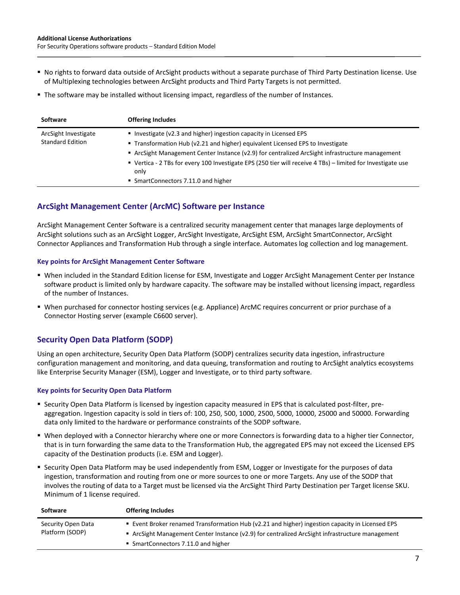- No rights to forward data outside of ArcSight products without a separate purchase of Third Party Destination license. Use of Multiplexing technologies between ArcSight products and Third Party Targets is not permitted.
- The software may be installed without licensing impact, regardless of the number of Instances.

| <b>Software</b>                                 | <b>Offering Includes</b>                                                                                                                                                                                                                                                                                                                                                                                          |
|-------------------------------------------------|-------------------------------------------------------------------------------------------------------------------------------------------------------------------------------------------------------------------------------------------------------------------------------------------------------------------------------------------------------------------------------------------------------------------|
| ArcSight Investigate<br><b>Standard Edition</b> | Investigate (v2.3 and higher) ingestion capacity in Licensed EPS<br>■ Transformation Hub (v2.21 and higher) equivalent Licensed EPS to Investigate<br>ArcSight Management Center Instance (v2.9) for centralized ArcSight infrastructure management<br>• Vertica - 2 TBs for every 100 Investigate EPS (250 tier will receive 4 TBs) – limited for Investigate use<br>only<br>• SmartConnectors 7.11.0 and higher |

# **ArcSight Management Center (ArcMC) Software per Instance**

ArcSight Management Center Software is a centralized security management center that manages large deployments of ArcSight solutions such as an ArcSight Logger, ArcSight Investigate, ArcSight ESM, ArcSight SmartConnector, ArcSight Connector Appliances and Transformation Hub through a single interface. Automates log collection and log management.

#### **Key points for ArcSight Management Center Software**

- When included in the Standard Edition license for ESM, Investigate and Logger ArcSight Management Center per Instance software product is limited only by hardware capacity. The software may be installed without licensing impact, regardless of the number of Instances.
- When purchased for connector hosting services (e.g. Appliance) ArcMC requires concurrent or prior purchase of a Connector Hosting server (example C6600 server).

# **Security Open Data Platform (SODP)**

Using an open architecture, Security Open Data Platform (SODP) centralizes security data ingestion, infrastructure configuration management and monitoring, and data queuing, transformation and routing to ArcSight analytics ecosystems like Enterprise Security Manager (ESM), Logger and Investigate, or to third party software.

#### **Key points for Security Open Data Platform**

- Security Open Data Platform is licensed by ingestion capacity measured in EPS that is calculated post-filter, preaggregation. Ingestion capacity is sold in tiers of: 100, 250, 500, 1000, 2500, 5000, 10000, 25000 and 50000. Forwarding data only limited to the hardware or performance constraints of the SODP software.
- When deployed with a Connector hierarchy where one or more Connectors is forwarding data to a higher tier Connector, that is in turn forwarding the same data to the Transformation Hub, the aggregated EPS may not exceed the Licensed EPS capacity of the Destination products (i.e. ESM and Logger).
- Security Open Data Platform may be used independently from ESM, Logger or Investigate for the purposes of data ingestion, transformation and routing from one or more sources to one or more Targets. Any use of the SODP that involves the routing of data to a Target must be licensed via the ArcSight Third Party Destination per Target license SKU. Minimum of 1 license required.

| Software           | <b>Offering Includes</b>                                                                        |
|--------------------|-------------------------------------------------------------------------------------------------|
| Security Open Data | ■ Event Broker renamed Transformation Hub (v2.21 and higher) ingestion capacity in Licensed EPS |
| Platform (SODP)    | ArcSight Management Center Instance (v2.9) for centralized ArcSight infrastructure management   |
|                    | • SmartConnectors 7.11.0 and higher                                                             |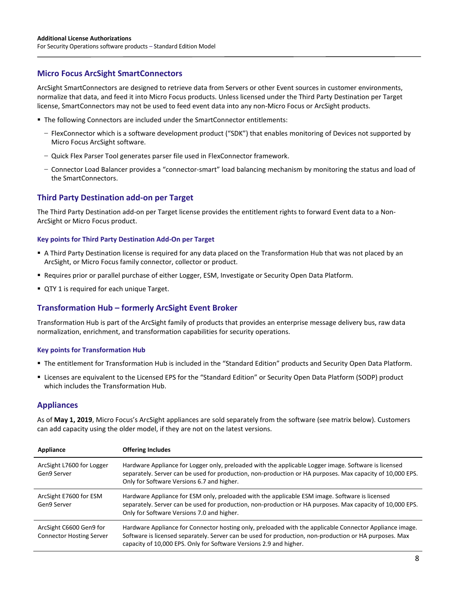## **Micro Focus ArcSight SmartConnectors**

ArcSight SmartConnectors are designed to retrieve data from Servers or other Event sources in customer environments, normalize that data, and feed it into Micro Focus products. Unless licensed under the Third Party Destination per Target license, SmartConnectors may not be used to feed event data into any non-Micro Focus or ArcSight products.

- **The following Connectors are included under the SmartConnector entitlements:** 
	- FlexConnector which is a software development product ("SDK") that enables monitoring of Devices not supported by Micro Focus ArcSight software.
	- Quick Flex Parser Tool generates parser file used in FlexConnector framework.
	- Connector Load Balancer provides a "connector-smart" load balancing mechanism by monitoring the status and load of the SmartConnectors.

## **Third Party Destination add-on per Target**

The Third Party Destination add-on per Target license provides the entitlement rights to forward Event data to a Non-ArcSight or Micro Focus product.

#### **Key points for Third Party Destination Add-On per Target**

- A Third Party Destination license is required for any data placed on the Transformation Hub that was not placed by an ArcSight, or Micro Focus family connector, collector or product.
- **P** Requires prior or parallel purchase of either Logger, ESM, Investigate or Security Open Data Platform.
- **QTY 1 is required for each unique Target.**

## **Transformation Hub – formerly ArcSight Event Broker**

Transformation Hub is part of the ArcSight family of products that provides an enterprise message delivery bus, raw data normalization, enrichment, and transformation capabilities for security operations.

#### **Key points for Transformation Hub**

- The entitlement for Transformation Hub is included in the "Standard Edition" products and Security Open Data Platform.
- Licenses are equivalent to the Licensed EPS for the "Standard Edition" or Security Open Data Platform (SODP) product which includes the Transformation Hub.

#### **Appliances**

As of **May 1, 2019**, Micro Focus's ArcSight appliances are sold separately from the software (see matrix below). Customers can add capacity using the older model, if they are not on the latest versions.

| Appliance                                                  | <b>Offering Includes</b>                                                                                                                                                                                                                                                                |
|------------------------------------------------------------|-----------------------------------------------------------------------------------------------------------------------------------------------------------------------------------------------------------------------------------------------------------------------------------------|
| ArcSight L7600 for Logger<br>Gen9 Server                   | Hardware Appliance for Logger only, preloaded with the applicable Logger image. Software is licensed<br>separately. Server can be used for production, non-production or HA purposes. Max capacity of 10,000 EPS.<br>Only for Software Versions 6.7 and higher.                         |
| ArcSight E7600 for ESM<br>Gen9 Server                      | Hardware Appliance for ESM only, preloaded with the applicable ESM image. Software is licensed<br>separately. Server can be used for production, non-production or HA purposes. Max capacity of 10,000 EPS.<br>Only for Software Versions 7.0 and higher.                               |
| ArcSight C6600 Gen9 for<br><b>Connector Hosting Server</b> | Hardware Appliance for Connector hosting only, preloaded with the applicable Connector Appliance image.<br>Software is licensed separately. Server can be used for production, non-production or HA purposes. Max<br>capacity of 10,000 EPS. Only for Software Versions 2.9 and higher. |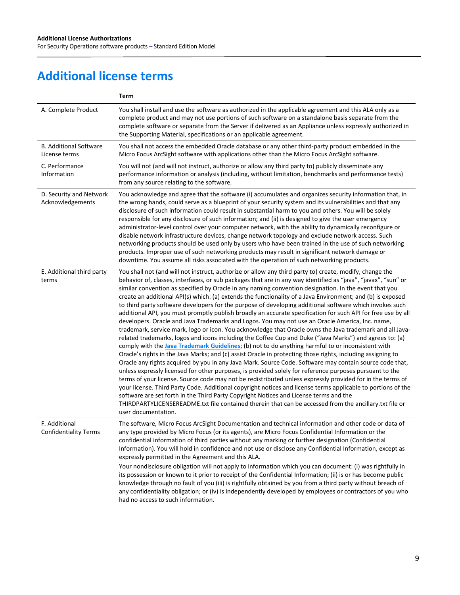# **Additional license terms**

 $\overline{a}$ 

|                                                | Term                                                                                                                                                                                                                                                                                                                                                                                                                                                                                                                                                                                                                                                                                                                                                                                                                                                                                                                                                                                                                                                                                                                                                                                                                                                                                                                                                                                                                                                                                                                                                                                                                                                                                                                                                                                                                                                                                                          |
|------------------------------------------------|---------------------------------------------------------------------------------------------------------------------------------------------------------------------------------------------------------------------------------------------------------------------------------------------------------------------------------------------------------------------------------------------------------------------------------------------------------------------------------------------------------------------------------------------------------------------------------------------------------------------------------------------------------------------------------------------------------------------------------------------------------------------------------------------------------------------------------------------------------------------------------------------------------------------------------------------------------------------------------------------------------------------------------------------------------------------------------------------------------------------------------------------------------------------------------------------------------------------------------------------------------------------------------------------------------------------------------------------------------------------------------------------------------------------------------------------------------------------------------------------------------------------------------------------------------------------------------------------------------------------------------------------------------------------------------------------------------------------------------------------------------------------------------------------------------------------------------------------------------------------------------------------------------------|
| A. Complete Product                            | You shall install and use the software as authorized in the applicable agreement and this ALA only as a<br>complete product and may not use portions of such software on a standalone basis separate from the<br>complete software or separate from the Server if delivered as an Appliance unless expressly authorized in<br>the Supporting Material, specifications or an applicable agreement.                                                                                                                                                                                                                                                                                                                                                                                                                                                                                                                                                                                                                                                                                                                                                                                                                                                                                                                                                                                                                                                                                                                                                                                                                                                                                                                                                                                                                                                                                                             |
| <b>B. Additional Software</b><br>License terms | You shall not access the embedded Oracle database or any other third-party product embedded in the<br>Micro Focus ArcSight software with applications other than the Micro Focus ArcSight software.                                                                                                                                                                                                                                                                                                                                                                                                                                                                                                                                                                                                                                                                                                                                                                                                                                                                                                                                                                                                                                                                                                                                                                                                                                                                                                                                                                                                                                                                                                                                                                                                                                                                                                           |
| C. Performance<br>Information                  | You will not (and will not instruct, authorize or allow any third party to) publicly disseminate any<br>performance information or analysis (including, without limitation, benchmarks and performance tests)<br>from any source relating to the software.                                                                                                                                                                                                                                                                                                                                                                                                                                                                                                                                                                                                                                                                                                                                                                                                                                                                                                                                                                                                                                                                                                                                                                                                                                                                                                                                                                                                                                                                                                                                                                                                                                                    |
| D. Security and Network<br>Acknowledgements    | You acknowledge and agree that the software (i) accumulates and organizes security information that, in<br>the wrong hands, could serve as a blueprint of your security system and its vulnerabilities and that any<br>disclosure of such information could result in substantial harm to you and others. You will be solely<br>responsible for any disclosure of such information; and (ii) is designed to give the user emergency<br>administrator-level control over your computer network, with the ability to dynamically reconfigure or<br>disable network infrastructure devices, change network topology and exclude network access. Such<br>networking products should be used only by users who have been trained in the use of such networking<br>products. Improper use of such networking products may result in significant network damage or<br>downtime. You assume all risks associated with the operation of such networking products.                                                                                                                                                                                                                                                                                                                                                                                                                                                                                                                                                                                                                                                                                                                                                                                                                                                                                                                                                      |
| E. Additional third party<br>terms             | You shall not (and will not instruct, authorize or allow any third party to) create, modify, change the<br>behavior of, classes, interfaces, or sub packages that are in any way identified as "java", "javax", "sun" or<br>similar convention as specified by Oracle in any naming convention designation. In the event that you<br>create an additional API(s) which: (a) extends the functionality of a Java Environment; and (b) is exposed<br>to third party software developers for the purpose of developing additional software which invokes such<br>additional API, you must promptly publish broadly an accurate specification for such API for free use by all<br>developers. Oracle and Java Trademarks and Logos. You may not use an Oracle America, Inc. name,<br>trademark, service mark, logo or icon. You acknowledge that Oracle owns the Java trademark and all Java-<br>related trademarks, logos and icons including the Coffee Cup and Duke ("Java Marks") and agrees to: (a)<br>comply with the <b>Java Trademark Guidelines</b> ; (b) not to do anything harmful to or inconsistent with<br>Oracle's rights in the Java Marks; and (c) assist Oracle in protecting those rights, including assigning to<br>Oracle any rights acquired by you in any Java Mark. Source Code. Software may contain source code that,<br>unless expressly licensed for other purposes, is provided solely for reference purposes pursuant to the<br>terms of your license. Source code may not be redistributed unless expressly provided for in the terms of<br>your license. Third Party Code. Additional copyright notices and license terms applicable to portions of the<br>software are set forth in the Third Party Copyright Notices and License terms and the<br>THIRDPARTYLICENSEREADME.txt file contained therein that can be accessed from the ancillary.txt file or<br>user documentation. |
| F. Additional<br><b>Confidentiality Terms</b>  | The software, Micro Focus ArcSight Documentation and technical information and other code or data of<br>any type provided by Micro Focus (or its agents), are Micro Focus Confidential Information or the<br>confidential information of third parties without any marking or further designation (Confidential<br>Information). You will hold in confidence and not use or disclose any Confidential Information, except as<br>expressly permitted in the Agreement and this ALA.                                                                                                                                                                                                                                                                                                                                                                                                                                                                                                                                                                                                                                                                                                                                                                                                                                                                                                                                                                                                                                                                                                                                                                                                                                                                                                                                                                                                                            |
|                                                | Your nondisclosure obligation will not apply to information which you can document: (i) was rightfully in<br>its possession or known to it prior to receipt of the Confidential Information; (ii) is or has become public<br>knowledge through no fault of you (iii) is rightfully obtained by you from a third party without breach of<br>any confidentiality obligation; or (iv) is independently developed by employees or contractors of you who<br>had no access to such information.                                                                                                                                                                                                                                                                                                                                                                                                                                                                                                                                                                                                                                                                                                                                                                                                                                                                                                                                                                                                                                                                                                                                                                                                                                                                                                                                                                                                                    |